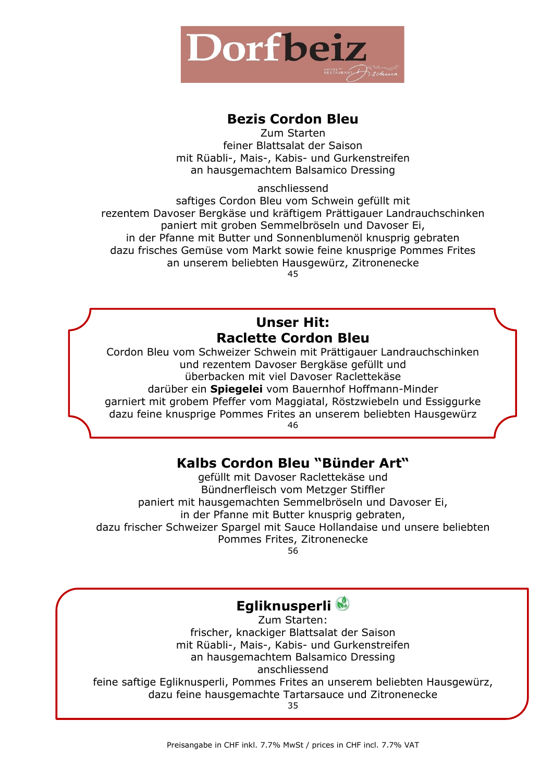

#### **Bezis Cordon Bleu**

Zum Starten feiner Blattsalat der Saison mit Rüabli-, Mais-, Kabis- und Gurkenstreifen an hausgemachtem Balsamico Dressing

anschliessend

saftiges Cordon Bleu vom Schwein gefüllt mit rezentem Davoser Bergkäse und kräftigem Prättigauer Landrauchschinken paniert mit groben Semmelbröseln und Davoser Ei, in der Pfanne mit Butter und Sonnenblumenöl knusprig gebraten dazu frisches Gemüse vom Markt sowie feine knusprige Pommes Frites an unserem beliebten Hausgewürz, Zitronenecke

45

## **Unser Hit: Raclette Cordon Bleu**

Cordon Bleu vom Schweizer Schwein mit Prättigauer Landrauchschinken und rezentem Davoser Bergkäse gefüllt und überbacken mit viel Davoser Raclettekäse darüber ein **Spiegelei** vom Bauernhof Hoffmann-Minder

garniert mit grobem Pfeffer vom Maggiatal, Röstzwiebeln und Essiggurke dazu feine knusprige Pommes Frites an unserem beliebten Hausgewürz 46

## **Kalbs Cordon Bleu "Bünder Art"**

gefüllt mit Davoser Raclettekäse und Bündnerfleisch vom Metzger Stiffler paniert mit hausgemachten Semmelbröseln und Davoser Ei, in der Pfanne mit Butter knusprig gebraten, dazu frischer Schweizer Spargel mit Sauce Hollandaise und unsere beliebten Pommes Frites, Zitronenecke 56

## **Egliknusperli**

Zum Starten: frischer, knackiger Blattsalat der Saison mit Rüabli-, Mais-, Kabis- und Gurkenstreifen an hausgemachtem Balsamico Dressing anschliessend feine saftige Egliknusperli, Pommes Frites an unserem beliebten Hausgewürz, dazu feine hausgemachte Tartarsauce und Zitronenecke 35